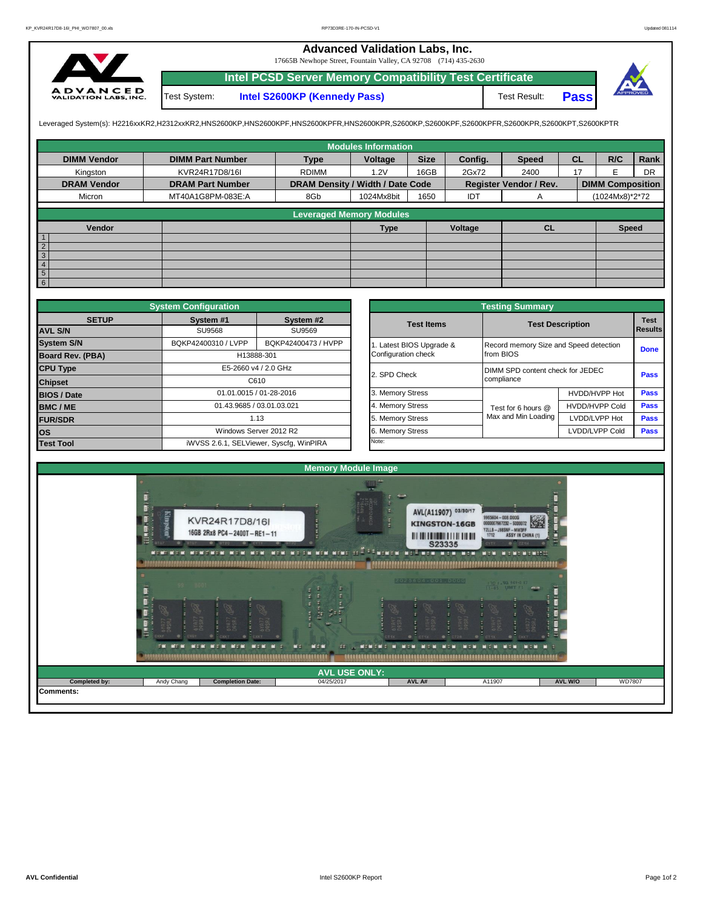## **Advanced Validation Labs, Inc.**

17665B Newhope Street, Fountain Valley, CA 92708 (714) 435-2630



**Intel PCSD Server Memory Compatibility Test Certificate Pass** Test System: **Intel S2600KP (Kennedy Pass)** Test Result:



Leveraged System(s): H2216xxKR2,H2312xxKR2,HNS2600KP,HNS2600KPF,HNS2600KPFR,HNS2600KPR,S2600KP,S2600KPF,S2600KPFR,S2600KPR,S2600KPT,S2600KPTR

|                              |                         |                                  | <b>Modules Information</b> |             |         |                               |           |                         |           |
|------------------------------|-------------------------|----------------------------------|----------------------------|-------------|---------|-------------------------------|-----------|-------------------------|-----------|
| <b>DIMM Vendor</b>           | <b>DIMM Part Number</b> | <b>Type</b>                      | Voltage                    | <b>Size</b> | Config. | <b>Speed</b>                  | <b>CL</b> | R/C                     | Rank      |
| Kingston                     | KVR24R17D8/16I          | <b>RDIMM</b>                     | 1.2V                       | 16GB        | 2Gx72   | 2400                          | 17        |                         | <b>DR</b> |
| <b>DRAM Vendor</b>           | <b>DRAM Part Number</b> | DRAM Density / Width / Date Code |                            |             |         | <b>Register Vendor / Rev.</b> |           | <b>DIMM Composition</b> |           |
| Micron                       | MT40A1G8PM-083E:A       | 8Gb                              | 1024Mx8bit                 | 1650        | IDT     | A                             |           | (1024Mx8)*2*72          |           |
|                              |                         | <b>Leveraged Memory Modules</b>  |                            |             |         |                               |           |                         |           |
| Vendor                       |                         |                                  | <b>Type</b>                |             | Voltage | CL                            |           | <b>Speed</b>            |           |
| $\overline{1}$               |                         |                                  |                            |             |         |                               |           |                         |           |
| $\overline{2}$<br>$\sqrt{3}$ |                         |                                  |                            |             |         |                               |           |                         |           |
| $\overline{4}$               |                         |                                  |                            |             |         |                               |           |                         |           |
| $5\overline{)}$              |                         |                                  |                            |             |         |                               |           |                         |           |
| $6\overline{6}$              |                         |                                  |                            |             |         |                               |           |                         |           |

|                         | <b>System Configuration</b> |                                         |                       | <b>Testing Summary</b>                 |                         |                               |  |  |
|-------------------------|-----------------------------|-----------------------------------------|-----------------------|----------------------------------------|-------------------------|-------------------------------|--|--|
| <b>SETUP</b>            | System #1                   | System #2                               | <b>Test Items</b>     |                                        | <b>Test Description</b> | <b>Test</b><br><b>Results</b> |  |  |
| <b>AVL S/N</b>          | SU9568                      | SU9569                                  |                       |                                        |                         |                               |  |  |
| <b>System S/N</b>       | BQKP42400310 / LVPP         | BQKP42400473 / HVPP                     | Latest BIOS Upgrade & | Record memory Size and Speed detection | <b>Done</b>             |                               |  |  |
| <b>Board Rev. (PBA)</b> |                             | H13888-301                              | Configuration check   | from BIOS                              |                         |                               |  |  |
| <b>CPU Type</b>         |                             | E5-2660 v4 / 2.0 GHz                    | 2. SPD Check          | DIMM SPD content check for JEDEC       |                         | Pass                          |  |  |
| <b>Chipset</b>          | C610                        |                                         |                       | compliance                             |                         |                               |  |  |
| <b>BIOS / Date</b>      |                             | 01.01.0015 / 01-28-2016                 | 3. Memory Stress      |                                        | HVDD/HVPP Hot           | Pass                          |  |  |
| <b>BMC/ME</b>           |                             | 01.43.9685 / 03.01.03.021               | 4. Memory Stress      | Test for 6 hours @                     | <b>HVDD/HVPP Cold</b>   | <b>Pass</b>                   |  |  |
| <b>FUR/SDR</b>          |                             | 1.13                                    | 5. Memory Stress      | Max and Min Loading                    | LVDD/LVPP Hot           | <b>Pass</b>                   |  |  |
| <b>los</b>              |                             | Windows Server 2012 R2                  | 6. Memory Stress      |                                        | LVDD/LVPP Cold          | <b>Pass</b>                   |  |  |
| <b>Test Tool</b>        |                             | iWVSS 2.6.1, SELViewer, Syscfq, WinPIRA | Note:                 |                                        |                         |                               |  |  |

|              | <b>System Configuration</b>             |                         |                       | <b>Testing Summary</b>                 |                       |                                                                    |                |  |
|--------------|-----------------------------------------|-------------------------|-----------------------|----------------------------------------|-----------------------|--------------------------------------------------------------------|----------------|--|
| <b>SETUP</b> | System #1                               | System #2               | <b>Test Items</b>     | <b>Test Description</b>                |                       |                                                                    |                |  |
|              | <b>SU9568</b>                           | SU9569                  |                       |                                        |                       | <b>Test</b><br><b>Done</b><br>Pass<br>Pass<br>Pass<br>Pass<br>Pass | <b>Results</b> |  |
|              | BQKP42400310 / LVPP                     | BQKP42400473 / HVPP     | Latest BIOS Upgrade & | Record memory Size and Speed detection |                       |                                                                    |                |  |
| PBA)         | H13888-301                              |                         | Configuration check   | from BIOS                              |                       |                                                                    |                |  |
|              |                                         | E5-2660 v4 / 2.0 GHz    | 2. SPD Check          | DIMM SPD content check for JEDEC       |                       |                                                                    |                |  |
|              |                                         | C610                    |                       | compliance                             |                       |                                                                    |                |  |
|              |                                         | 01.01.0015 / 01-28-2016 | 3. Memory Stress      |                                        | HVDD/HVPP Hot         |                                                                    |                |  |
|              | 01.43.9685 / 03.01.03.021               |                         | 4. Memory Stress      | Test for 6 hours @                     | <b>HVDD/HVPP Cold</b> |                                                                    |                |  |
|              |                                         | 1.13                    | 5. Memory Stress      | Max and Min Loading                    | LVDD/LVPP Hot         |                                                                    |                |  |
|              |                                         | Windows Server 2012 R2  | 6. Memory Stress      |                                        | LVDD/LVPP Cold        |                                                                    |                |  |
|              | iWVSS 2.6.1, SELViewer, Syscfg, WinPIRA |                         | Note:                 |                                        |                       |                                                                    |                |  |